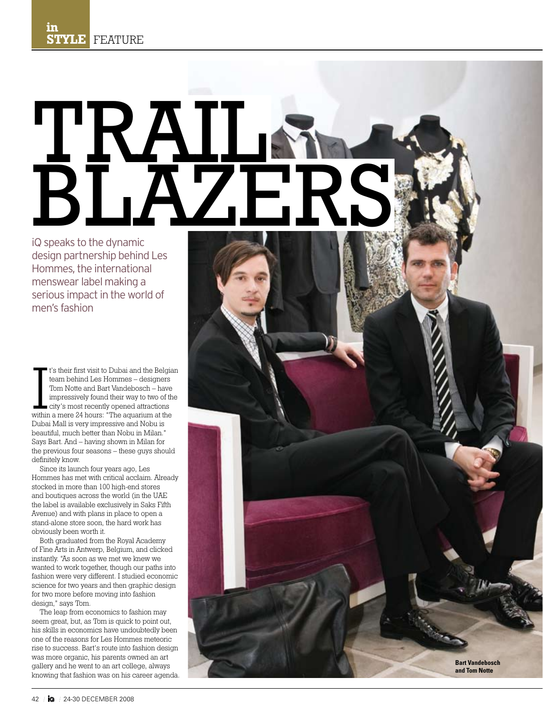## BLAZERS TRAIL

iQ speaks to the dynamic design partnership behind Les Hommes, the international menswear label making a serious impact in the world of men's fashion

<sup>t</sup>'s their first visit to Dubai and the Belgia<br>team behind Les Hommes – designers<br>Tom Notte and Bart Vandebosch – have<br>impressively found their way to two of th<br>city's most recently opened attractions<br>within a mere 24 hou t's their first visit to Dubai and the Belgian team behind Les Hommes – designers Tom Notte and Bart Vandebosch – have impressively found their way to two of the city's most recently opened attractions Dubai Mall is very impressive and Nobu is beautiful, much better than Nobu in Milan." Says Bart. And – having shown in Milan for the previous four seasons – these guys should definitely know.

Since its launch four years ago, Les Hommes has met with critical acclaim. Already stocked in more than 100 high-end stores and boutiques across the world (in the UAE the label is available exclusively in Saks Fifth Avenue) and with plans in place to open a stand-alone store soon, the hard work has obviously been worth it.

Both graduated from the Royal Academy of Fine Arts in Antwerp, Belgium, and clicked instantly. "As soon as we met we knew we wanted to work together, though our paths into fashion were very different. I studied economic science for two years and then graphic design for two more before moving into fashion design," says Tom.

The leap from economics to fashion may seem great, but, as Tom is quick to point out, his skills in economics have undoubtedly been one of the reasons for Les Hommes meteoric rise to success. Bart's route into fashion design was more organic, his parents owned an art gallery and he went to an art college, always knowing that fashion was on his career agenda.

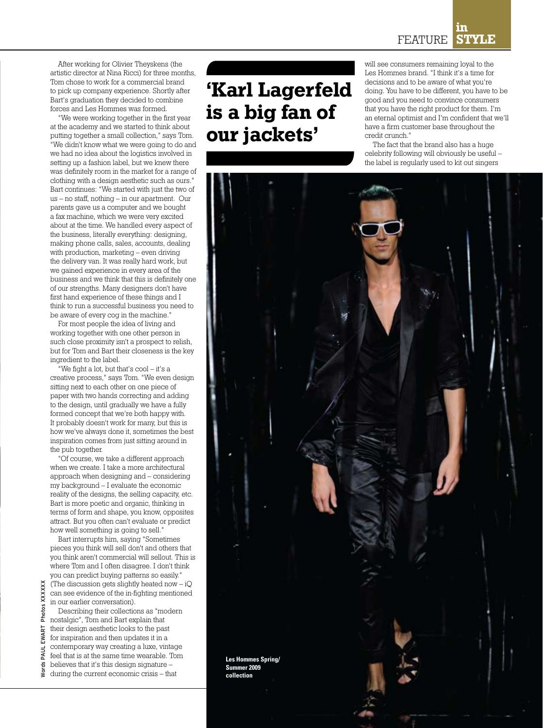After working for Olivier Theyskens (the artistic director at Nina Ricci) for three months, Tom chose to work for a commercial brand to pick up company experience. Shortly after Bart's graduation they decided to combine forces and Les Hommes was formed.

"We were working together in the first year at the academy and we started to think about putting together a small collection," says Tom. "We didn't know what we were going to do and we had no idea about the logistics involved in setting up a fashion label, but we knew there was definitely room in the market for a range of clothing with a design aesthetic such as ours." Bart continues: "We started with just the two of us – no staff, nothing – in our apartment. Our parents gave us a computer and we bought a fax machine, which we were very excited about at the time. We handled every aspect of the business, literally everything: designing, making phone calls, sales, accounts, dealing with production, marketing – even driving the delivery van. It was really hard work, but we gained experience in every area of the business and we think that this is definitely one of our strengths. Many designers don't have first hand experience of these things and I think to run a successful business you need to be aware of every cog in the machine."

For most people the idea of living and working together with one other person in such close proximity isn't a prospect to relish, but for Tom and Bart their closeness is the key ingredient to the label.

"We fight a lot, but that's cool – it's a creative process," says Tom. "We even design sitting next to each other on one piece of paper with two hands correcting and adding to the design, until gradually we have a fully formed concept that we're both happy with. It probably doesn't work for many, but this is how we've always done it, sometimes the best inspiration comes from just sitting around in the pub together.

"Of course, we take a different approach when we create. I take a more architectural approach when designing and – considering my background – I evaluate the economic reality of the designs, the selling capacity, etc. Bart is more poetic and organic, thinking in terms of form and shape, you know, opposites attract. But you often can't evaluate or predict how well something is going to sell."

Bart interrupts him, saying "Sometimes pieces you think will sell don't and others that you think aren't commercial will sellout. This is where Tom and I often disagree. I don't think you can predict buying patterns so easily." (The discussion gets slightly heated now – iQ can see evidence of the in-fighting mentioned in our earlier conversation).

Describing their collections as "modern nostalgic", Tom and Bart explain that their design aesthetic looks to the past for inspiration and then updates it in a contemporary way creating a luxe, vintage feel that is at the same time wearable. Tom believes that it's this design signature – during the current economic crisis – that

## **'Karl Lagerfeld is a big fan of our jackets'**

will see consumers remaining loyal to the Les Hommes brand. "I think it's a time for decisions and to be aware of what you're doing. You have to be different, you have to be good and you need to convince consumers that you have the right product for them. I'm an eternal optimist and I'm confident that we'll have a firm customer base throughout the credit crunch."

The fact that the brand also has a huge celebrity following will obviously be useful – the label is regularly used to kit out singers



XXXXXX wart Photos XXXXXX Photos ) ١RT Š Words Paul E PAUL Words